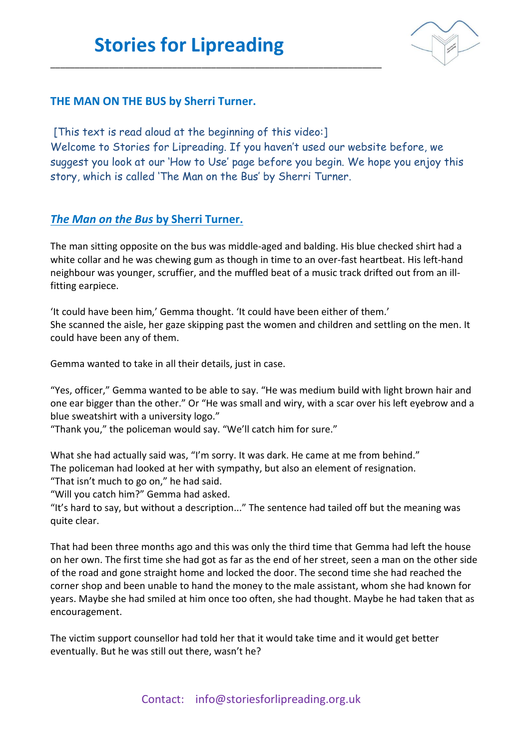\_\_\_\_\_\_\_\_\_\_\_\_\_\_\_\_\_\_\_\_\_\_\_\_\_\_\_\_\_\_\_\_\_\_\_\_\_\_\_\_\_\_\_\_\_\_\_\_\_\_\_\_\_\_\_\_\_\_\_\_\_\_\_\_\_\_\_\_



## **THE MAN ON THE BUS by Sherri Turner.**

[This text is read aloud at the beginning of this video:] Welcome to Stories for Lipreading. If you haven't used our website before, we suggest you look at our 'How to Use' page before you begin. We hope you enjoy this story, which is called 'The Man on the Bus' by Sherri Turner.

## *The Man on the Bus* **by Sherri Turner.**

The man sitting opposite on the bus was middle-aged and balding. His blue checked shirt had a white collar and he was chewing gum as though in time to an over-fast heartbeat. His left-hand neighbour was younger, scruffier, and the muffled beat of a music track drifted out from an illfitting earpiece.

'It could have been him,' Gemma thought. 'It could have been either of them.' She scanned the aisle, her gaze skipping past the women and children and settling on the men. It could have been any of them.

Gemma wanted to take in all their details, just in case.

"Yes, officer," Gemma wanted to be able to say. "He was medium build with light brown hair and one ear bigger than the other." Or "He was small and wiry, with a scar over his left eyebrow and a blue sweatshirt with a university logo."

"Thank you," the policeman would say. "We'll catch him for sure."

What she had actually said was, "I'm sorry. It was dark. He came at me from behind." The policeman had looked at her with sympathy, but also an element of resignation.

"That isn't much to go on," he had said.

"Will you catch him?" Gemma had asked.

"It's hard to say, but without a description..." The sentence had tailed off but the meaning was quite clear.

That had been three months ago and this was only the third time that Gemma had left the house on her own. The first time she had got as far as the end of her street, seen a man on the other side of the road and gone straight home and locked the door. The second time she had reached the corner shop and been unable to hand the money to the male assistant, whom she had known for years. Maybe she had smiled at him once too often, she had thought. Maybe he had taken that as encouragement.

The victim support counsellor had told her that it would take time and it would get better eventually. But he was still out there, wasn't he?